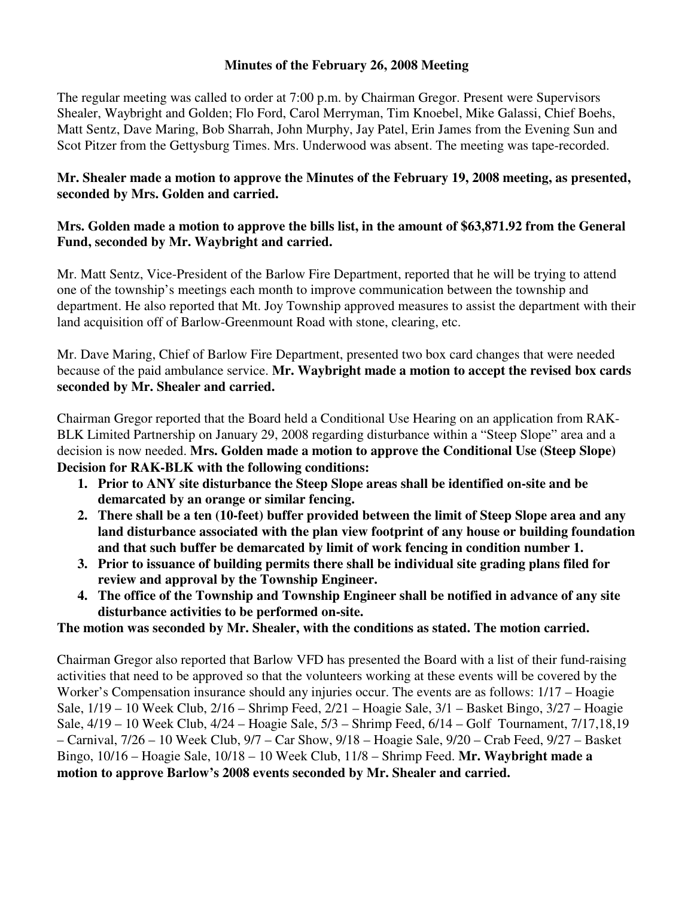## **Minutes of the February 26, 2008 Meeting**

The regular meeting was called to order at 7:00 p.m. by Chairman Gregor. Present were Supervisors Shealer, Waybright and Golden; Flo Ford, Carol Merryman, Tim Knoebel, Mike Galassi, Chief Boehs, Matt Sentz, Dave Maring, Bob Sharrah, John Murphy, Jay Patel, Erin James from the Evening Sun and Scot Pitzer from the Gettysburg Times. Mrs. Underwood was absent. The meeting was tape-recorded.

## **Mr. Shealer made a motion to approve the Minutes of the February 19, 2008 meeting, as presented, seconded by Mrs. Golden and carried.**

## **Mrs. Golden made a motion to approve the bills list, in the amount of \$63,871.92 from the General Fund, seconded by Mr. Waybright and carried.**

Mr. Matt Sentz, Vice-President of the Barlow Fire Department, reported that he will be trying to attend one of the township's meetings each month to improve communication between the township and department. He also reported that Mt. Joy Township approved measures to assist the department with their land acquisition off of Barlow-Greenmount Road with stone, clearing, etc.

Mr. Dave Maring, Chief of Barlow Fire Department, presented two box card changes that were needed because of the paid ambulance service. **Mr. Waybright made a motion to accept the revised box cards seconded by Mr. Shealer and carried.** 

Chairman Gregor reported that the Board held a Conditional Use Hearing on an application from RAK-BLK Limited Partnership on January 29, 2008 regarding disturbance within a "Steep Slope" area and a decision is now needed. **Mrs. Golden made a motion to approve the Conditional Use (Steep Slope) Decision for RAK-BLK with the following conditions:**

- **1. Prior to ANY site disturbance the Steep Slope areas shall be identified on-site and be demarcated by an orange or similar fencing.**
- **2. There shall be a ten (10-feet) buffer provided between the limit of Steep Slope area and any land disturbance associated with the plan view footprint of any house or building foundation and that such buffer be demarcated by limit of work fencing in condition number 1.**
- **3. Prior to issuance of building permits there shall be individual site grading plans filed for review and approval by the Township Engineer.**
- **4. The office of the Township and Township Engineer shall be notified in advance of any site disturbance activities to be performed on-site.**

## **The motion was seconded by Mr. Shealer, with the conditions as stated. The motion carried.**

Chairman Gregor also reported that Barlow VFD has presented the Board with a list of their fund-raising activities that need to be approved so that the volunteers working at these events will be covered by the Worker's Compensation insurance should any injuries occur. The events are as follows: 1/17 – Hoagie Sale, 1/19 – 10 Week Club, 2/16 – Shrimp Feed, 2/21 – Hoagie Sale, 3/1 – Basket Bingo, 3/27 – Hoagie Sale, 4/19 – 10 Week Club, 4/24 – Hoagie Sale, 5/3 – Shrimp Feed, 6/14 – Golf Tournament, 7/17,18,19 – Carnival, 7/26 – 10 Week Club, 9/7 – Car Show, 9/18 – Hoagie Sale, 9/20 – Crab Feed, 9/27 – Basket Bingo, 10/16 – Hoagie Sale, 10/18 – 10 Week Club, 11/8 – Shrimp Feed. **Mr. Waybright made a motion to approve Barlow's 2008 events seconded by Mr. Shealer and carried.**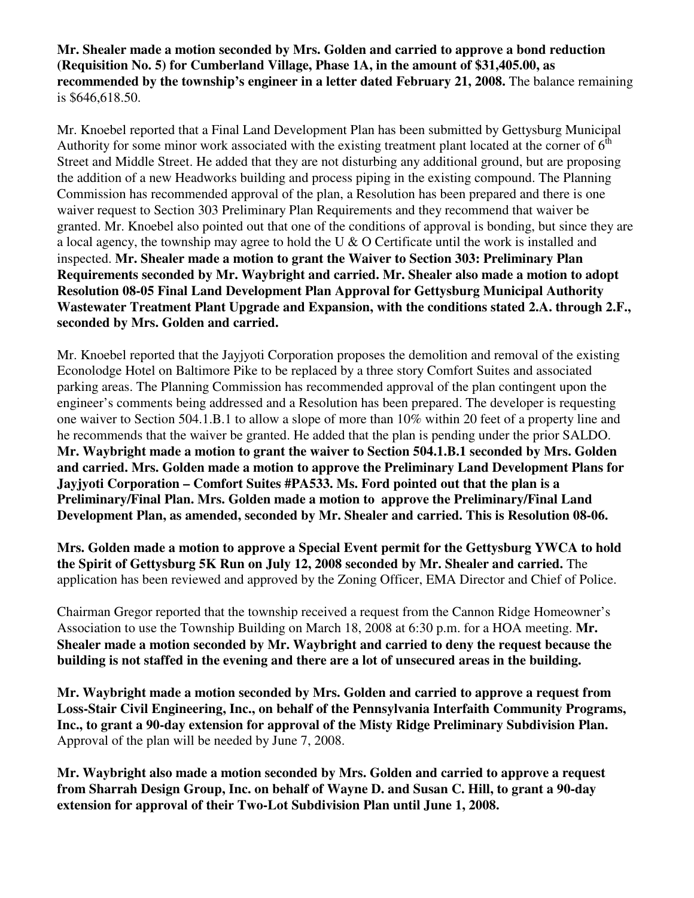**Mr. Shealer made a motion seconded by Mrs. Golden and carried to approve a bond reduction (Requisition No. 5) for Cumberland Village, Phase 1A, in the amount of \$31,405.00, as recommended by the township's engineer in a letter dated February 21, 2008.** The balance remaining is \$646,618.50.

Mr. Knoebel reported that a Final Land Development Plan has been submitted by Gettysburg Municipal Authority for some minor work associated with the existing treatment plant located at the corner of  $6<sup>th</sup>$ Street and Middle Street. He added that they are not disturbing any additional ground, but are proposing the addition of a new Headworks building and process piping in the existing compound. The Planning Commission has recommended approval of the plan, a Resolution has been prepared and there is one waiver request to Section 303 Preliminary Plan Requirements and they recommend that waiver be granted. Mr. Knoebel also pointed out that one of the conditions of approval is bonding, but since they are a local agency, the township may agree to hold the U & O Certificate until the work is installed and inspected. **Mr. Shealer made a motion to grant the Waiver to Section 303: Preliminary Plan Requirements seconded by Mr. Waybright and carried. Mr. Shealer also made a motion to adopt Resolution 08-05 Final Land Development Plan Approval for Gettysburg Municipal Authority Wastewater Treatment Plant Upgrade and Expansion, with the conditions stated 2.A. through 2.F., seconded by Mrs. Golden and carried.** 

Mr. Knoebel reported that the Jayjyoti Corporation proposes the demolition and removal of the existing Econolodge Hotel on Baltimore Pike to be replaced by a three story Comfort Suites and associated parking areas. The Planning Commission has recommended approval of the plan contingent upon the engineer's comments being addressed and a Resolution has been prepared. The developer is requesting one waiver to Section 504.1.B.1 to allow a slope of more than 10% within 20 feet of a property line and he recommends that the waiver be granted. He added that the plan is pending under the prior SALDO. **Mr. Waybright made a motion to grant the waiver to Section 504.1.B.1 seconded by Mrs. Golden and carried. Mrs. Golden made a motion to approve the Preliminary Land Development Plans for Jayjyoti Corporation – Comfort Suites #PA533. Ms. Ford pointed out that the plan is a Preliminary/Final Plan. Mrs. Golden made a motion to approve the Preliminary/Final Land Development Plan, as amended, seconded by Mr. Shealer and carried. This is Resolution 08-06.** 

**Mrs. Golden made a motion to approve a Special Event permit for the Gettysburg YWCA to hold the Spirit of Gettysburg 5K Run on July 12, 2008 seconded by Mr. Shealer and carried.** The application has been reviewed and approved by the Zoning Officer, EMA Director and Chief of Police.

Chairman Gregor reported that the township received a request from the Cannon Ridge Homeowner's Association to use the Township Building on March 18, 2008 at 6:30 p.m. for a HOA meeting. **Mr. Shealer made a motion seconded by Mr. Waybright and carried to deny the request because the building is not staffed in the evening and there are a lot of unsecured areas in the building.** 

**Mr. Waybright made a motion seconded by Mrs. Golden and carried to approve a request from Loss-Stair Civil Engineering, Inc., on behalf of the Pennsylvania Interfaith Community Programs, Inc., to grant a 90-day extension for approval of the Misty Ridge Preliminary Subdivision Plan.**  Approval of the plan will be needed by June 7, 2008.

**Mr. Waybright also made a motion seconded by Mrs. Golden and carried to approve a request from Sharrah Design Group, Inc. on behalf of Wayne D. and Susan C. Hill, to grant a 90-day extension for approval of their Two-Lot Subdivision Plan until June 1, 2008.**